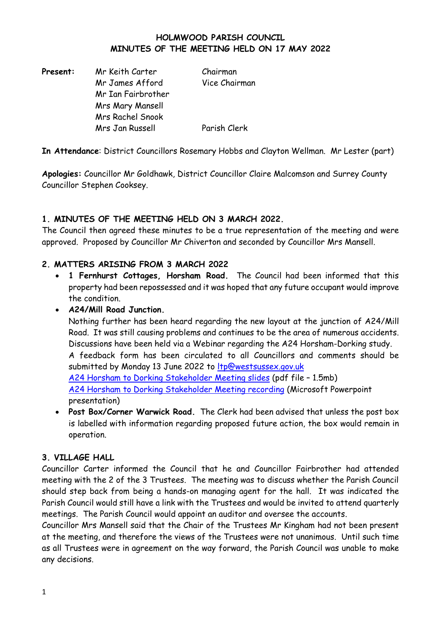#### **HOLMWOOD PARISH COUNCIL MINUTES OF THE MEETING HELD ON 17 MAY 2022**

| Mr Keith Carter         | Chairman      |
|-------------------------|---------------|
| Mr James Afford         | Vice Chairman |
| Mr Ian Fairbrother      |               |
| <b>Mrs Mary Mansell</b> |               |
| <b>Mrs Rachel Snook</b> |               |
| Mrs Jan Russell         | Parish Clerk  |
|                         |               |

**In Attendance**: District Councillors Rosemary Hobbs and Clayton Wellman. Mr Lester (part)

**Apologies:** Councillor Mr Goldhawk, District Councillor Claire Malcomson and Surrey County Councillor Stephen Cooksey.

## **1. MINUTES OF THE MEETING HELD ON 3 MARCH 2022.**

The Council then agreed these minutes to be a true representation of the meeting and were approved. Proposed by Councillor Mr Chiverton and seconded by Councillor Mrs Mansell.

## **2. MATTERS ARISING FROM 3 MARCH 2022**

• **1 Fernhurst Cottages, Horsham Road.** The Council had been informed that this property had been repossessed and it was hoped that any future occupant would improve the condition.

#### • **A24/Mill Road Junction.**

Nothing further has been heard regarding the new layout at the junction of A24/Mill Road. It was still causing problems and continues to be the area of numerous accidents. Discussions have been held via a Webinar regarding the A24 Horsham-Dorking study. A feedback form has been circulated to all Councillors and comments should be submitted by Monday 13 June 2022 to [ltp@westsussex.gov.uk](mailto:ltp@westsussex.gov.uk) [A24 Horsham to Dorking Stakeholder Meeting slides](https://eur01.safelinks.protection.outlook.com/?url=http%3A%2F%2Fwww2.westsussex.gov.uk%2F20220512presentation%2Fslides.pdf&data=05%7C01%7CCouncillor.Salmon%40molevalley.gov.uk%7C2f5a4a0d44f94bda06f908da3744490f%7Cb349b0985198407daede27fa51575052%7C0%7C0%7C637883064177883079%7CUnknown%7CTWFpbGZsb3d8eyJWIjoiMC4wLjAwMDAiLCJQIjoiV2luMzIiLCJBTiI6Ik1haWwiLCJXVCI6Mn0%3D%7C3000%7C%7C%7C&sdata=rOif98my8baxLMoJJ5RXLdcMpUzlVSEPeWOFfAlMNao%3D&reserved=0) (pdf file – 1.5mb) [A24 Horsham to Dorking Stakeholder Meeting recording](https://eur01.safelinks.protection.outlook.com/?url=http%3A%2F%2Fwww2.westsussex.gov.uk%2F20220512presentation%2Frecording.pptx&data=05%7C01%7CCouncillor.Salmon%40molevalley.gov.uk%7C2f5a4a0d44f94bda06f908da3744490f%7Cb349b0985198407daede27fa51575052%7C0%7C0%7C637883064177883079%7CUnknown%7CTWFpbGZsb3d8eyJWIjoiMC4wLjAwMDAiLCJQIjoiV2luMzIiLCJBTiI6Ik1haWwiLCJXVCI6Mn0%3D%7C3000%7C%7C%7C&sdata=95Y8cgUCvJLl%2F3NPMCzEGNYykjeLG9ttRj%2BNtoMJyZg%3D&reserved=0) (Microsoft Powerpoint presentation)

• **Post Box/Corner Warwick Road.** The Clerk had been advised that unless the post box is labelled with information regarding proposed future action, the box would remain in operation.

## **3. VILLAGE HALL**

Councillor Carter informed the Council that he and Councillor Fairbrother had attended meeting with the 2 of the 3 Trustees. The meeting was to discuss whether the Parish Council should step back from being a hands-on managing agent for the hall. It was indicated the Parish Council would still have a link with the Trustees and would be invited to attend quarterly meetings. The Parish Council would appoint an auditor and oversee the accounts.

Councillor Mrs Mansell said that the Chair of the Trustees Mr Kingham had not been present at the meeting, and therefore the views of the Trustees were not unanimous. Until such time as all Trustees were in agreement on the way forward, the Parish Council was unable to make any decisions.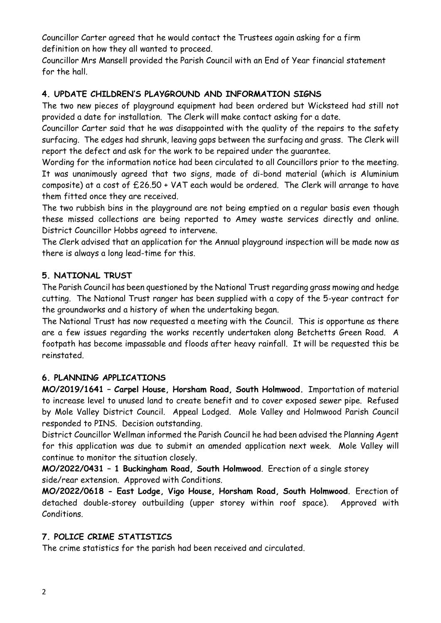Councillor Carter agreed that he would contact the Trustees again asking for a firm definition on how they all wanted to proceed.

Councillor Mrs Mansell provided the Parish Council with an End of Year financial statement for the hall.

# **4. UPDATE CHILDREN'S PLAYGROUND AND INFORMATION SIGNS**

The two new pieces of playground equipment had been ordered but Wicksteed had still not provided a date for installation. The Clerk will make contact asking for a date.

Councillor Carter said that he was disappointed with the quality of the repairs to the safety surfacing. The edges had shrunk, leaving gaps between the surfacing and grass. The Clerk will report the defect and ask for the work to be repaired under the guarantee.

Wording for the information notice had been circulated to all Councillors prior to the meeting. It was unanimously agreed that two signs, made of di-bond material (which is Aluminium composite) at a cost of £26.50 + VAT each would be ordered. The Clerk will arrange to have them fitted once they are received.

The two rubbish bins in the playground are not being emptied on a regular basis even though these missed collections are being reported to Amey waste services directly and online. District Councillor Hobbs agreed to intervene.

The Clerk advised that an application for the Annual playground inspection will be made now as there is always a long lead-time for this.

## **5. NATIONAL TRUST**

The Parish Council has been questioned by the National Trust regarding grass mowing and hedge cutting. The National Trust ranger has been supplied with a copy of the 5-year contract for the groundworks and a history of when the undertaking began.

The National Trust has now requested a meeting with the Council. This is opportune as there are a few issues regarding the works recently undertaken along Betchetts Green Road. A footpath has become impassable and floods after heavy rainfall. It will be requested this be reinstated.

## **6. PLANNING APPLICATIONS**

**MO/2019/1641 – Carpel House, Horsham Road, South Holmwood.** Importation of material to increase level to unused land to create benefit and to cover exposed sewer pipe. Refused by Mole Valley District Council. Appeal Lodged. Mole Valley and Holmwood Parish Council responded to PINS. Decision outstanding.

District Councillor Wellman informed the Parish Council he had been advised the Planning Agent for this application was due to submit an amended application next week. Mole Valley will continue to monitor the situation closely.

**MO/2022/0431 – 1 Buckingham Road, South Holmwood**. Erection of a single storey side/rear extension. Approved with Conditions.

**MO/2022/0618 - East Lodge, Vigo House, Horsham Road, South Holmwood**. Erection of detached double-storey outbuilding (upper storey within roof space). Approved with Conditions.

# **7. POLICE CRIME STATISTICS**

The crime statistics for the parish had been received and circulated.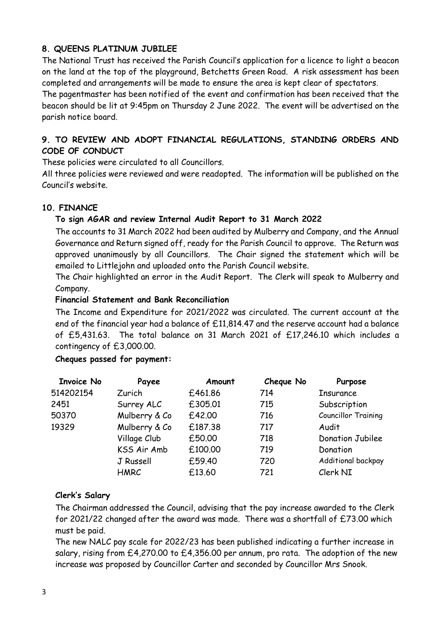## **8. QUEENS PLATINUM JUBILEE**

The National Trust has received the Parish Council's application for a licence to light a beacon on the land at the top of the playground, Betchetts Green Road. A risk assessment has been completed and arrangements will be made to ensure the area is kept clear of spectators.

The pagentmaster has been notified of the event and confirmation has been received that the beacon should be lit at 9:45pm on Thursday 2 June 2022. The event will be advertised on the parish notice board.

## **9. TO REVIEW AND ADOPT FINANCIAL REGULATIONS, STANDING ORDERS AND CODE OF CONDUCT**

These policies were circulated to all Councillors.

All three policies were reviewed and were readopted. The information will be published on the Council's website.

# **10. FINANCE**

## **To sign AGAR and review Internal Audit Report to 31 March 2022**

The accounts to 31 March 2022 had been audited by Mulberry and Company, and the Annual Governance and Return signed off, ready for the Parish Council to approve. The Return was approved unanimously by all Councillors. The Chair signed the statement which will be emailed to Littlejohn and uploaded onto the Parish Council website.

The Chair highlighted an error in the Audit Report. The Clerk will speak to Mulberry and Company.

## **Financial Statement and Bank Reconciliation**

The Income and Expenditure for 2021/2022 was circulated. The current account at the end of the financial year had a balance of £11,814.47 and the reserve account had a balance of £5,431.63. The total balance on 31 March 2021 of £17,246.10 which includes a contingency of £3,000.00.

## **Cheques passed for payment:**

| <b>Invoice No</b> | Payee         | Amount  | Cheque No | Purpose                    |
|-------------------|---------------|---------|-----------|----------------------------|
| 514202154         | Zurich        | £461.86 | 714       | <b>Insurance</b>           |
| 2451              | Surrey ALC    | £305.01 | 715       | Subscription               |
| 50370             | Mulberry & Co | £42.00  | 716       | <b>Councillor Training</b> |
| 19329             | Mulberry & Co | £187.38 | 717       | Audit                      |
|                   | Village Club  | £50.00  | 718       | <b>Donation Jubilee</b>    |
|                   | KSS Air Amb   | £100.00 | 719       | Donation                   |
|                   | J Russell     | £59.40  | 720       | Additional backpay         |
|                   | <b>HMRC</b>   | £13.60  | 721       | Clerk NI                   |

## **Clerk's Salary**

The Chairman addressed the Council, advising that the pay increase awarded to the Clerk for 2021/22 changed after the award was made. There was a shortfall of £73.00 which must be paid.

The new NALC pay scale for 2022/23 has been published indicating a further increase in salary, rising from £4,270.00 to £4,356.00 per annum, pro rata. The adoption of the new increase was proposed by Councillor Carter and seconded by Councillor Mrs Snook.